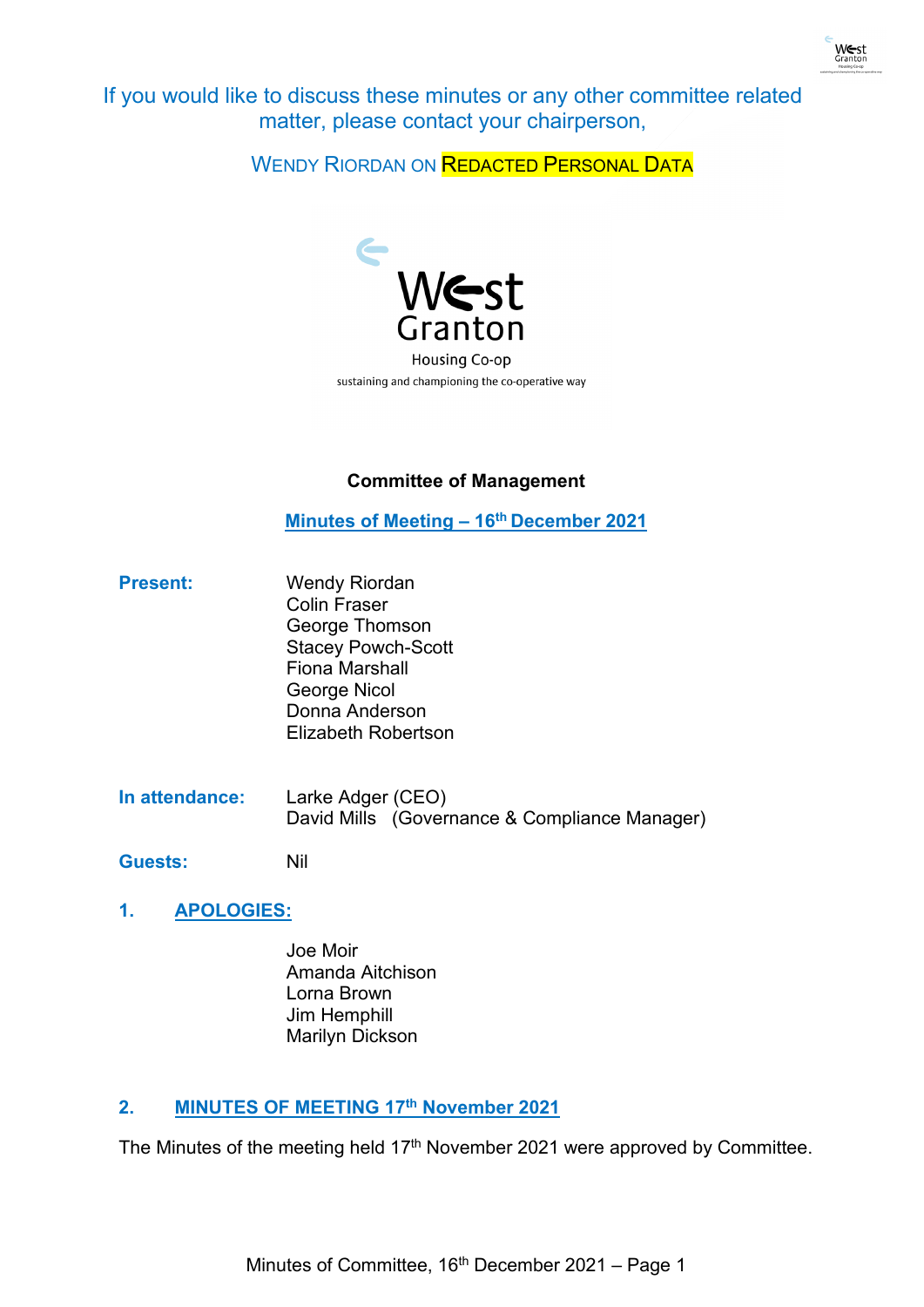

If you would like to discuss these minutes or any other committee related matter, please contact your chairperson,

WENDY RIORDAN ON REDACTED PERSONAL DATA



# **Committee of Management**

**Minutes of Meeting – 16th December 2021**

- **Present:** Wendy Riordan Colin Fraser George Thomson Stacey Powch-Scott Fiona Marshall George Nicol Donna Anderson Elizabeth Robertson
- **In attendance:** Larke Adger (CEO) David Mills (Governance & Compliance Manager)

**Guests:** Nil

- **1. APOLOGIES:**
	- Joe Moir Amanda Aitchison Lorna Brown Jim Hemphill Marilyn Dickson

# **2. MINUTES OF MEETING 17th November 2021**

The Minutes of the meeting held 17<sup>th</sup> November 2021 were approved by Committee.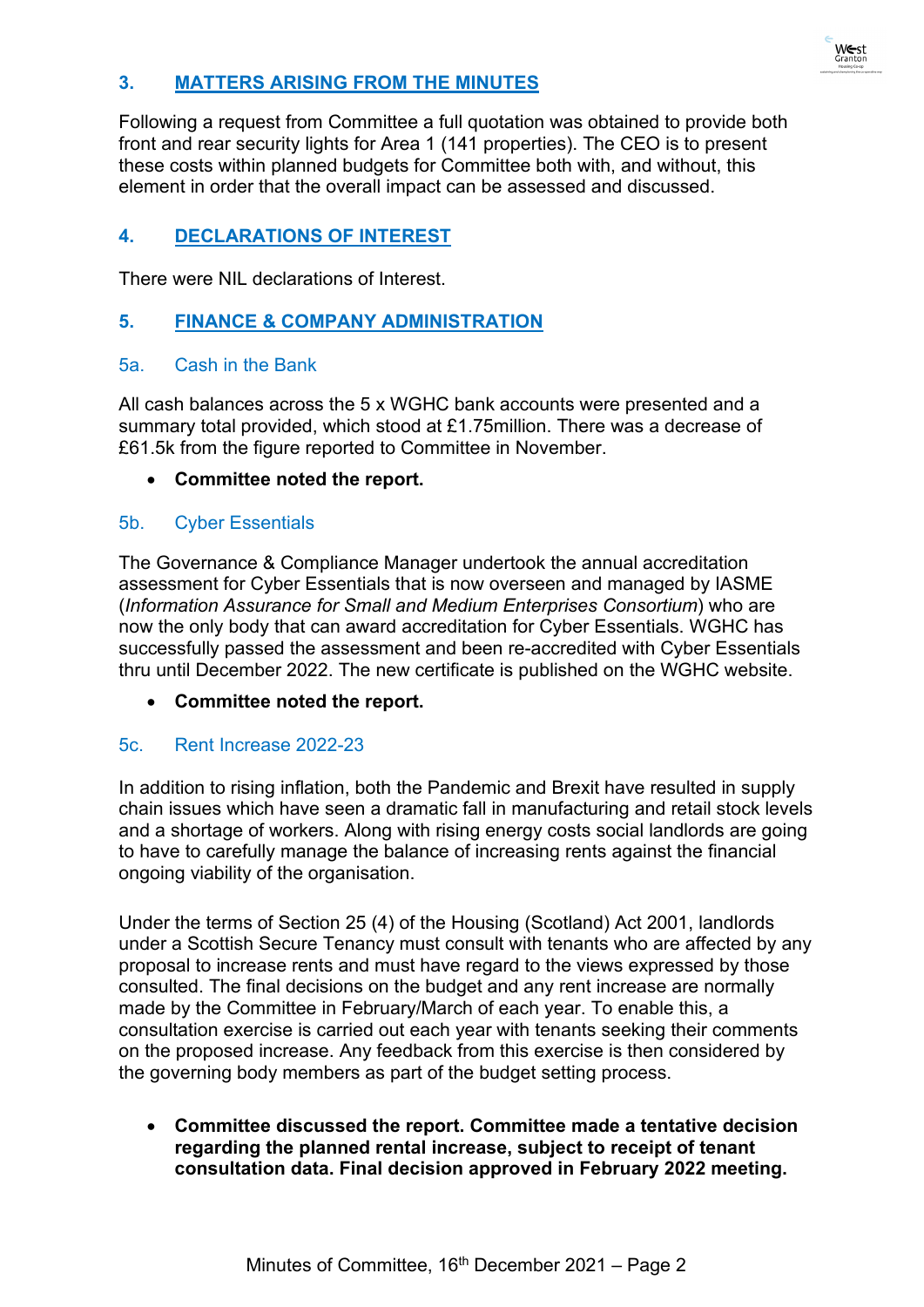# **3. MATTERS ARISING FROM THE MINUTES**

Following a request from Committee a full quotation was obtained to provide both front and rear security lights for Area 1 (141 properties). The CEO is to present these costs within planned budgets for Committee both with, and without, this element in order that the overall impact can be assessed and discussed.

# **4. DECLARATIONS OF INTEREST**

There were NIL declarations of Interest.

# **5. FINANCE & COMPANY ADMINISTRATION**

### 5a. Cash in the Bank

All cash balances across the 5 x WGHC bank accounts were presented and a summary total provided, which stood at £1.75million. There was a decrease of £61.5k from the figure reported to Committee in November.

### • **Committee noted the report.**

### 5b. Cyber Essentials

The Governance & Compliance Manager undertook the annual accreditation assessment for Cyber Essentials that is now overseen and managed by IASME (*Information Assurance for Small and Medium Enterprises Consortium*) who are now the only body that can award accreditation for Cyber Essentials. WGHC has successfully passed the assessment and been re-accredited with Cyber Essentials thru until December 2022. The new certificate is published on the WGHC website.

• **Committee noted the report.**

# 5c. Rent Increase 2022-23

In addition to rising inflation, both the Pandemic and Brexit have resulted in supply chain issues which have seen a dramatic fall in manufacturing and retail stock levels and a shortage of workers. Along with rising energy costs social landlords are going to have to carefully manage the balance of increasing rents against the financial ongoing viability of the organisation.

Under the terms of Section 25 (4) of the Housing (Scotland) Act 2001, landlords under a Scottish Secure Tenancy must consult with tenants who are affected by any proposal to increase rents and must have regard to the views expressed by those consulted. The final decisions on the budget and any rent increase are normally made by the Committee in February/March of each year. To enable this, a consultation exercise is carried out each year with tenants seeking their comments on the proposed increase. Any feedback from this exercise is then considered by the governing body members as part of the budget setting process.

• **Committee discussed the report. Committee made a tentative decision regarding the planned rental increase, subject to receipt of tenant consultation data. Final decision approved in February 2022 meeting.**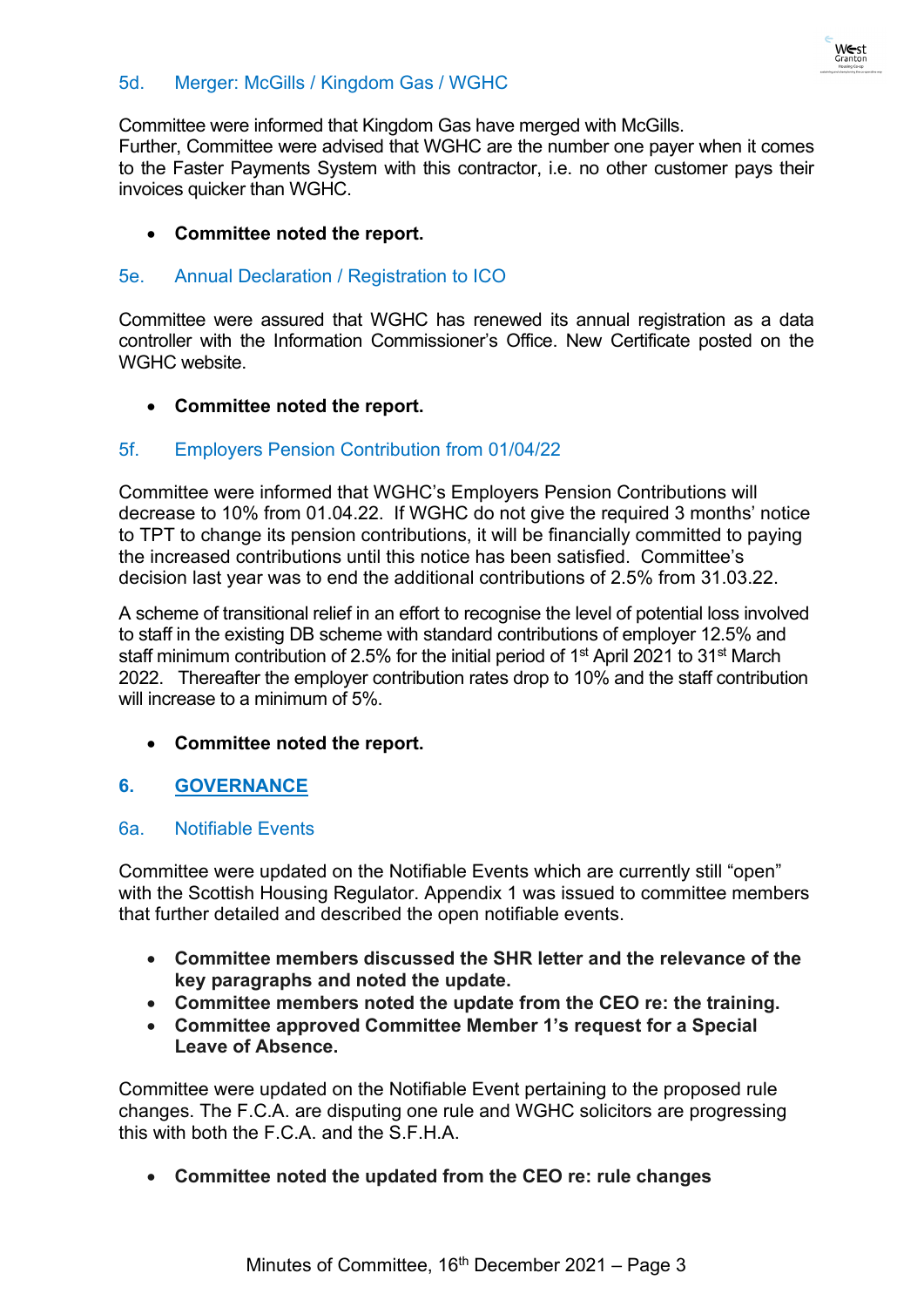

# 5d. Merger: McGills / Kingdom Gas / WGHC

Committee were informed that Kingdom Gas have merged with McGills.

Further, Committee were advised that WGHC are the number one payer when it comes to the Faster Payments System with this contractor, i.e. no other customer pays their invoices quicker than WGHC.

### • **Committee noted the report.**

#### 5e. Annual Declaration / Registration to ICO

Committee were assured that WGHC has renewed its annual registration as a data controller with the Information Commissioner's Office. New Certificate posted on the WGHC website.

# • **Committee noted the report.**

#### 5f. Employers Pension Contribution from 01/04/22

Committee were informed that WGHC's Employers Pension Contributions will decrease to 10% from 01.04.22. If WGHC do not give the required 3 months' notice to TPT to change its pension contributions, it will be financially committed to paying the increased contributions until this notice has been satisfied. Committee's decision last year was to end the additional contributions of 2.5% from 31.03.22.

A scheme of transitional relief in an effort to recognise the level of potential loss involved to staff in the existing DB scheme with standard contributions of employer 12.5% and staff minimum contribution of 2.5% for the initial period of 1<sup>st</sup> April 2021 to 31<sup>st</sup> March 2022. Thereafter the employer contribution rates drop to 10% and the staff contribution will increase to a minimum of 5%.

• **Committee noted the report.**

# **6. GOVERNANCE**

#### 6a. Notifiable Events

Committee were updated on the Notifiable Events which are currently still "open" with the Scottish Housing Regulator. Appendix 1 was issued to committee members that further detailed and described the open notifiable events.

- **Committee members discussed the SHR letter and the relevance of the key paragraphs and noted the update.**
- **Committee members noted the update from the CEO re: the training.**
- **Committee approved Committee Member 1's request for a Special Leave of Absence.**

Committee were updated on the Notifiable Event pertaining to the proposed rule changes. The F.C.A. are disputing one rule and WGHC solicitors are progressing this with both the F.C.A. and the S.F.H.A.

• **Committee noted the updated from the CEO re: rule changes**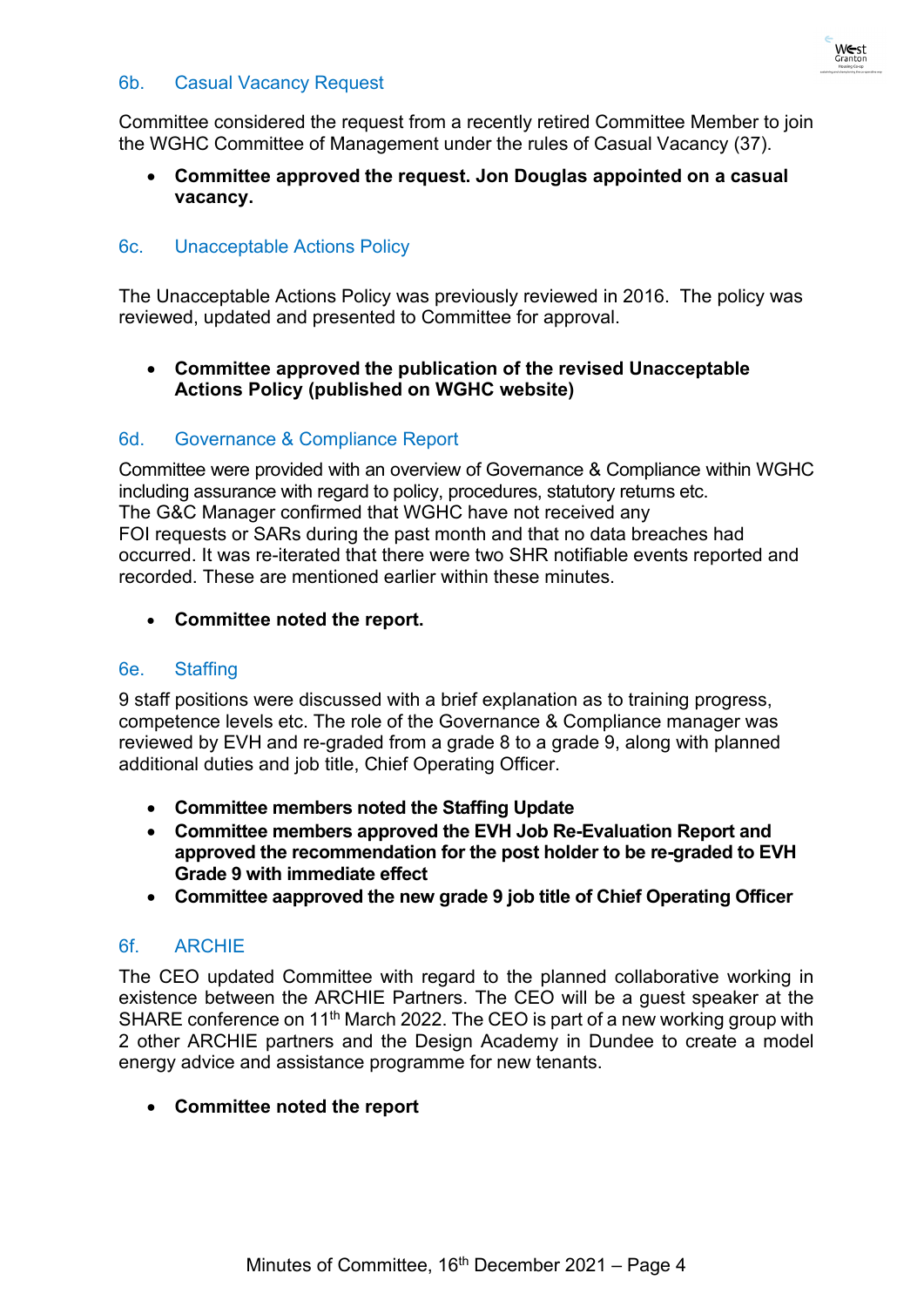### 6b. Casual Vacancy Request

Committee considered the request from a recently retired Committee Member to join the WGHC Committee of Management under the rules of Casual Vacancy (37).

• **Committee approved the request. Jon Douglas appointed on a casual vacancy.**

# 6c. Unacceptable Actions Policy

The Unacceptable Actions Policy was previously reviewed in 2016. The policy was reviewed, updated and presented to Committee for approval.

# • **Committee approved the publication of the revised Unacceptable Actions Policy (published on WGHC website)**

# 6d. Governance & Compliance Report

Committee were provided with an overview of Governance & Compliance within WGHC including assurance with regard to policy, procedures, statutory returns etc. The G&C Manager confirmed that WGHC have not received any FOI requests or SARs during the past month and that no data breaches had occurred. It was re-iterated that there were two SHR notifiable events reported and recorded. These are mentioned earlier within these minutes.

• **Committee noted the report.**

# 6e. Staffing

9 staff positions were discussed with a brief explanation as to training progress, competence levels etc. The role of the Governance & Compliance manager was reviewed by EVH and re-graded from a grade 8 to a grade 9, along with planned additional duties and job title, Chief Operating Officer.

- **Committee members noted the Staffing Update**
- **Committee members approved the EVH Job Re-Evaluation Report and approved the recommendation for the post holder to be re-graded to EVH Grade 9 with immediate effect**
- **Committee aapproved the new grade 9 job title of Chief Operating Officer**

# 6f. ARCHIE

The CEO updated Committee with regard to the planned collaborative working in existence between the ARCHIE Partners. The CEO will be a guest speaker at the SHARE conference on 11<sup>th</sup> March 2022. The CEO is part of a new working group with 2 other ARCHIE partners and the Design Academy in Dundee to create a model energy advice and assistance programme for new tenants.

# • **Committee noted the report**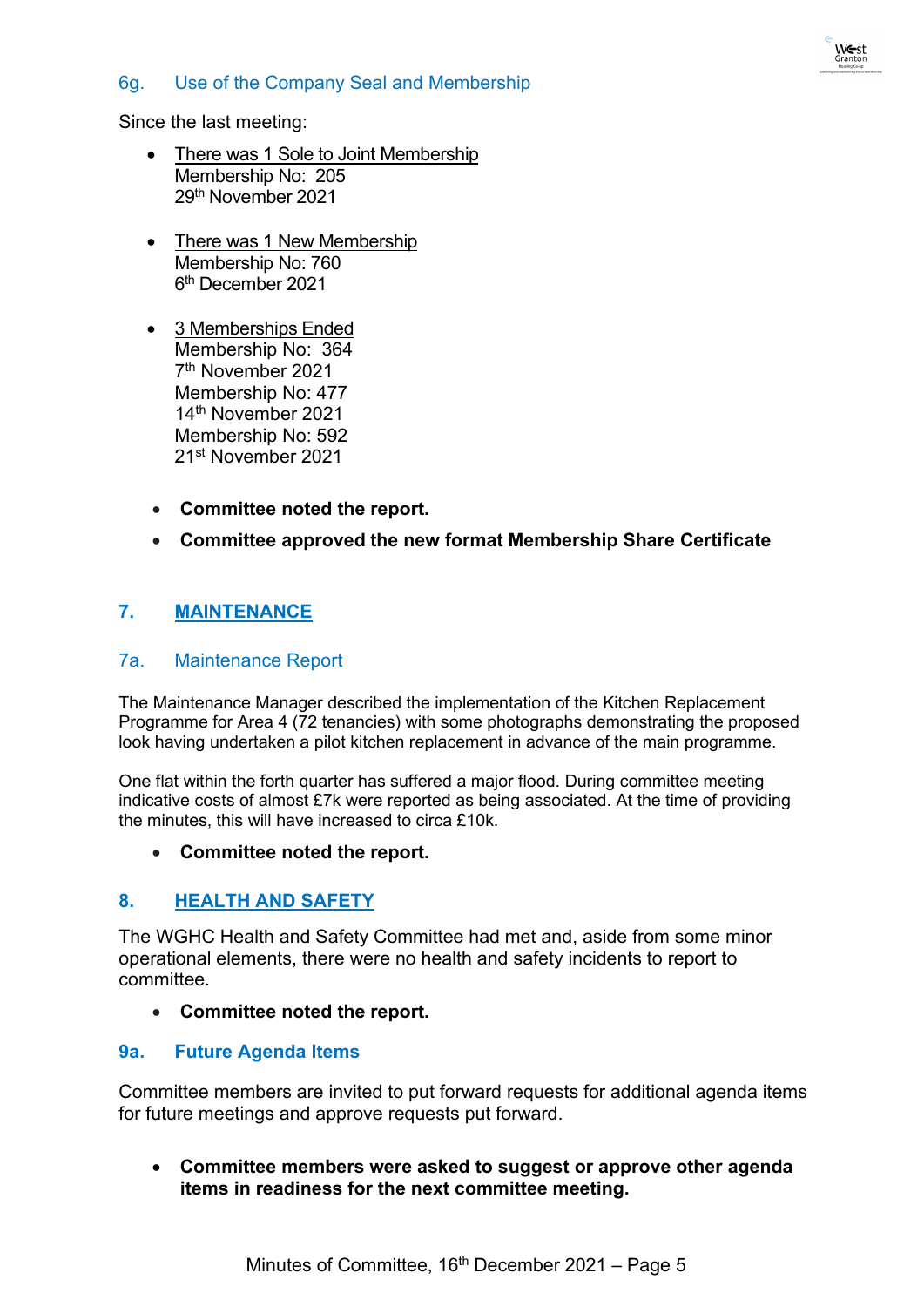# 6g. Use of the Company Seal and Membership

Since the last meeting:

- There was 1 Sole to Joint Membership Membership No: 205 29th November 2021
- There was 1 New Membership Membership No: 760 6th December 2021
- 3 Memberships Ended Membership No: 364 7th November 2021 Membership No: 477 14th November 2021 Membership No: 592 21st November 2021
- **Committee noted the report.**
- **Committee approved the new format Membership Share Certificate**

# **7. MAINTENANCE**

#### 7a. Maintenance Report

The Maintenance Manager described the implementation of the Kitchen Replacement Programme for Area 4 (72 tenancies) with some photographs demonstrating the proposed look having undertaken a pilot kitchen replacement in advance of the main programme.

One flat within the forth quarter has suffered a major flood. During committee meeting indicative costs of almost £7k were reported as being associated. At the time of providing the minutes, this will have increased to circa £10k.

#### • **Committee noted the report.**

# **8. HEALTH AND SAFETY**

The WGHC Health and Safety Committee had met and, aside from some minor operational elements, there were no health and safety incidents to report to committee.

• **Committee noted the report.**

# **9a. Future Agenda Items**

Committee members are invited to put forward requests for additional agenda items for future meetings and approve requests put forward.

• **Committee members were asked to suggest or approve other agenda items in readiness for the next committee meeting.**